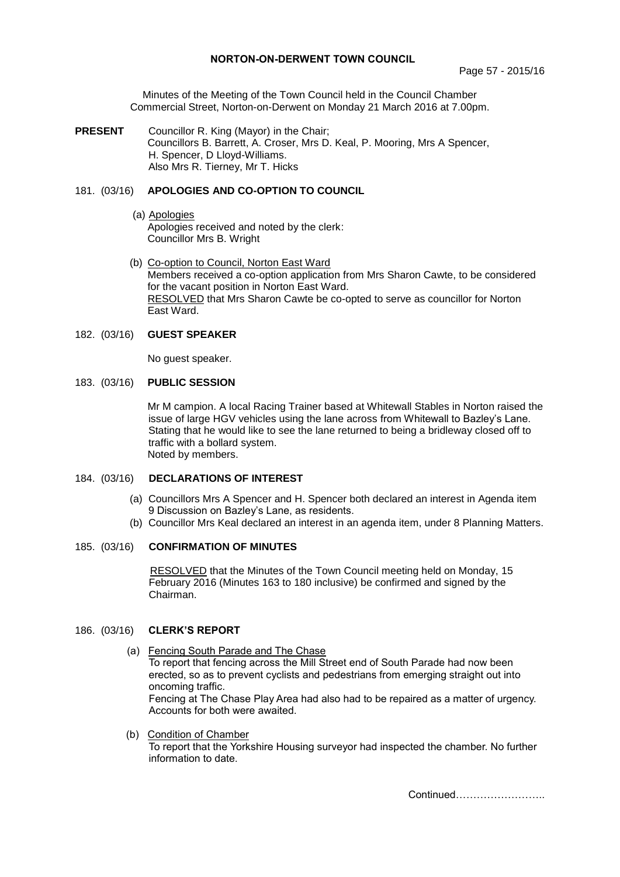# **NORTON-ON-DERWENT TOWN COUNCIL**

Minutes of the Meeting of the Town Council held in the Council Chamber Commercial Street, Norton-on-Derwent on Monday 21 March 2016 at 7.00pm.

**PRESENT** Councillor R. King (Mayor) in the Chair; Councillors B. Barrett, A. Croser, Mrs D. Keal, P. Mooring, Mrs A Spencer, H. Spencer, D Lloyd-Williams. Also Mrs R. Tierney, Mr T. Hicks

# 181. (03/16) **APOLOGIES AND CO-OPTION TO COUNCIL**

- (a) Apologies Apologies received and noted by the clerk: Councillor Mrs B. Wright
- (b) Co-option to Council, Norton East Ward Members received a co-option application from Mrs Sharon Cawte, to be considered for the vacant position in Norton East Ward. RESOLVED that Mrs Sharon Cawte be co-opted to serve as councillor for Norton East Ward.

# 182. (03/16) **GUEST SPEAKER**

No guest speaker.

### 183. (03/16) **PUBLIC SESSION**

Mr M campion. A local Racing Trainer based at Whitewall Stables in Norton raised the issue of large HGV vehicles using the lane across from Whitewall to Bazley's Lane. Stating that he would like to see the lane returned to being a bridleway closed off to traffic with a bollard system. Noted by members.

# 184. (03/16) **DECLARATIONS OF INTEREST**

- (a) Councillors Mrs A Spencer and H. Spencer both declared an interest in Agenda item 9 Discussion on Bazley's Lane, as residents.
- (b) Councillor Mrs Keal declared an interest in an agenda item, under 8 Planning Matters.

### 185. (03/16) **CONFIRMATION OF MINUTES**

 RESOLVED that the Minutes of the Town Council meeting held on Monday, 15 February 2016 (Minutes 163 to 180 inclusive) be confirmed and signed by the Chairman.

# 186. (03/16) **CLERK'S REPORT**

- (a)Fencing South Parade and The Chase To report that fencing across the Mill Street end of South Parade had now been erected, so as to prevent cyclists and pedestrians from emerging straight out into oncoming traffic. Fencing at The Chase Play Area had also had to be repaired as a matter of urgency. Accounts for both were awaited.
- (b) Condition of Chamber To report that the Yorkshire Housing surveyor had inspected the chamber. No further information to date.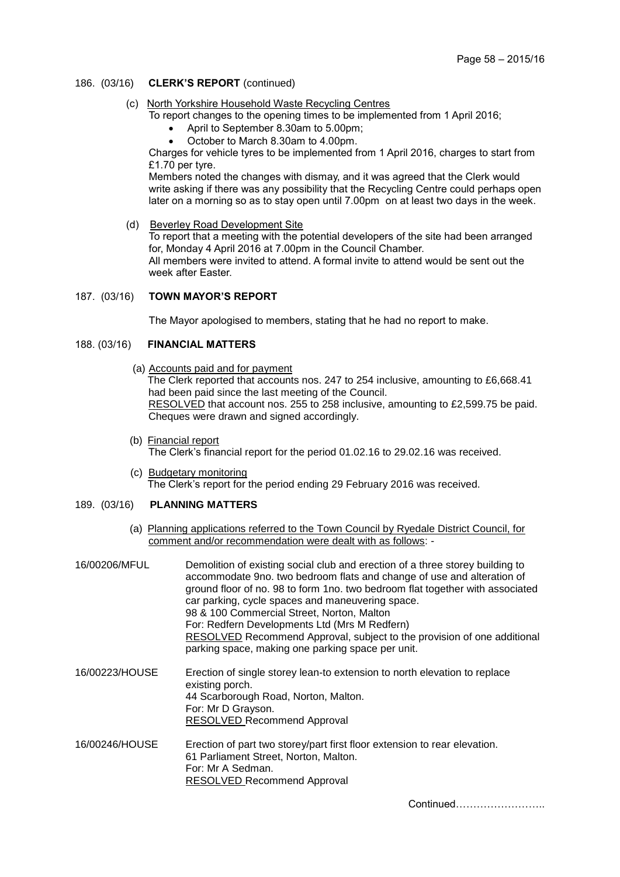## 186. (03/16) **CLERK'S REPORT** (continued)

(c) North Yorkshire Household Waste Recycling Centres

To report changes to the opening times to be implemented from 1 April 2016;

- April to September 8.30am to 5.00pm;
- October to March 8.30am to 4.00pm.

Charges for vehicle tyres to be implemented from 1 April 2016, charges to start from £1.70 per tyre.

Members noted the changes with dismay, and it was agreed that the Clerk would write asking if there was any possibility that the Recycling Centre could perhaps open later on a morning so as to stay open until 7.00pm on at least two days in the week.

(d) Beverley Road Development Site

To report that a meeting with the potential developers of the site had been arranged for, Monday 4 April 2016 at 7.00pm in the Council Chamber. All members were invited to attend. A formal invite to attend would be sent out the week after Easter.

187. (03/16) **TOWN MAYOR'S REPORT**

The Mayor apologised to members, stating that he had no report to make.

# 188. (03/16) **FINANCIAL MATTERS**

(a) Accounts paid and for payment

The Clerk reported that accounts nos. 247 to 254 inclusive, amounting to £6,668.41 had been paid since the last meeting of the Council. RESOLVED that account nos. 255 to 258 inclusive, amounting to £2,599.75 be paid. Cheques were drawn and signed accordingly.

- (b) Financial report The Clerk's financial report for the period 01.02.16 to 29.02.16 was received.
- (c) Budgetary monitoring The Clerk's report for the period ending 29 February 2016 was received.

### 189. (03/16) **PLANNING MATTERS**

(a) Planning applications referred to the Town Council by Ryedale District Council, for comment and/or recommendation were dealt with as follows: -

| 16/00206/MFUL  | Demolition of existing social club and erection of a three storey building to<br>accommodate 9no. two bedroom flats and change of use and alteration of<br>ground floor of no. 98 to form 1no. two bedroom flat together with associated<br>car parking, cycle spaces and maneuvering space.<br>98 & 100 Commercial Street, Norton, Malton<br>For: Redfern Developments Ltd (Mrs M Redfern)<br>RESOLVED Recommend Approval, subject to the provision of one additional<br>parking space, making one parking space per unit. |
|----------------|-----------------------------------------------------------------------------------------------------------------------------------------------------------------------------------------------------------------------------------------------------------------------------------------------------------------------------------------------------------------------------------------------------------------------------------------------------------------------------------------------------------------------------|
| 16/00223/HOUSE | Erection of single storey lean-to extension to north elevation to replace<br>existing porch.<br>44 Scarborough Road, Norton, Malton.<br>For: Mr D Grayson.<br>RESOLVED Recommend Approval                                                                                                                                                                                                                                                                                                                                   |
| 16/00246/HOUSE | Erection of part two storey/part first floor extension to rear elevation.<br>61 Parliament Street, Norton, Malton.<br>For: Mr A Sedman.<br><b>RESOLVED Recommend Approval</b>                                                                                                                                                                                                                                                                                                                                               |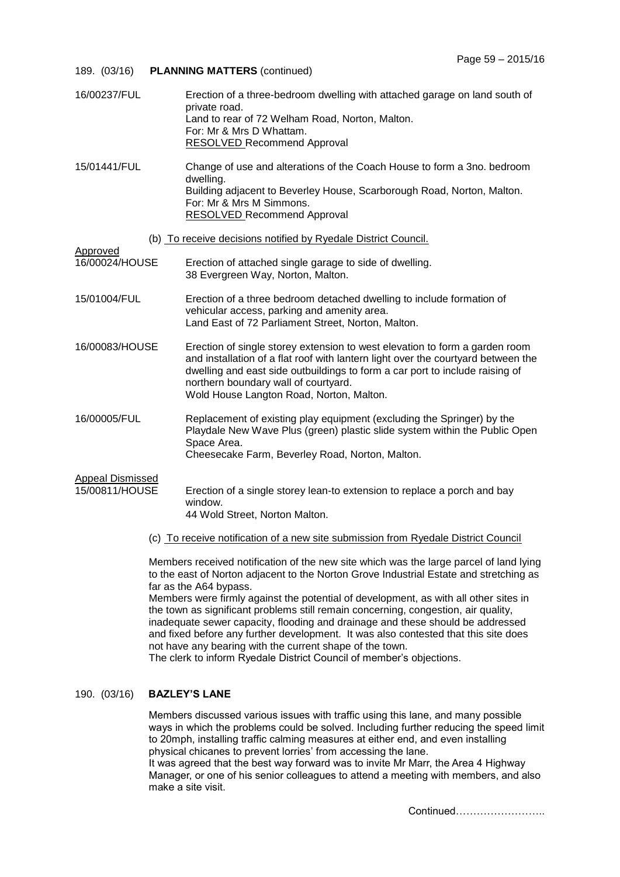| 189. (03/16)                              | <b>PLANNING MATTERS (continued)</b>                                                                                                                                                                                                                                                                                                  |
|-------------------------------------------|--------------------------------------------------------------------------------------------------------------------------------------------------------------------------------------------------------------------------------------------------------------------------------------------------------------------------------------|
| 16/00237/FUL                              | Erection of a three-bedroom dwelling with attached garage on land south of<br>private road.<br>Land to rear of 72 Welham Road, Norton, Malton.<br>For: Mr & Mrs D Whattam.<br><b>RESOLVED Recommend Approval</b>                                                                                                                     |
| 15/01441/FUL                              | Change of use and alterations of the Coach House to form a 3no. bedroom<br>dwelling.<br>Building adjacent to Beverley House, Scarborough Road, Norton, Malton.<br>For: Mr & Mrs M Simmons.<br><b>RESOLVED Recommend Approval</b>                                                                                                     |
|                                           | (b) To receive decisions notified by Ryedale District Council.                                                                                                                                                                                                                                                                       |
| Approved<br>16/00024/HOUSE                | Erection of attached single garage to side of dwelling.<br>38 Evergreen Way, Norton, Malton.                                                                                                                                                                                                                                         |
| 15/01004/FUL                              | Erection of a three bedroom detached dwelling to include formation of<br>vehicular access, parking and amenity area.<br>Land East of 72 Parliament Street, Norton, Malton.                                                                                                                                                           |
| 16/00083/HOUSE                            | Erection of single storey extension to west elevation to form a garden room<br>and installation of a flat roof with lantern light over the courtyard between the<br>dwelling and east side outbuildings to form a car port to include raising of<br>northern boundary wall of courtyard.<br>Wold House Langton Road, Norton, Malton. |
| 16/00005/FUL                              | Replacement of existing play equipment (excluding the Springer) by the<br>Playdale New Wave Plus (green) plastic slide system within the Public Open<br>Space Area.<br>Cheesecake Farm, Beverley Road, Norton, Malton.                                                                                                               |
| <b>Appeal Dismissed</b><br>15/00811/HOUSE | Erection of a single storey lean-to extension to replace a porch and bay<br>window.<br>44 Wold Street, Norton Malton.                                                                                                                                                                                                                |
|                                           | (c) To receive notification of a new site submission from Ryedale District Council                                                                                                                                                                                                                                                   |
|                                           | Members received notification of the new site which was the large parcel of land lying<br>to the east of Norton adjacent to the Norton Grove Industrial Estate and stretching as<br>far as the A64 bypass.<br>Members were firmly against the potential of development, as with all other sites in                                   |

opment, as with all other sites in the town as significant problems still remain concerning, congestion, air quality, inadequate sewer capacity, flooding and drainage and these should be addressed and fixed before any further development. It was also contested that this site does not have any bearing with the current shape of the town.

The clerk to inform Ryedale District Council of member's objections.

# 190. (03/16) **BAZLEY'S LANE**

Members discussed various issues with traffic using this lane, and many possible ways in which the problems could be solved. Including further reducing the speed limit to 20mph, installing traffic calming measures at either end, and even installing physical chicanes to prevent lorries' from accessing the lane.

It was agreed that the best way forward was to invite Mr Marr, the Area 4 Highway Manager, or one of his senior colleagues to attend a meeting with members, and also make a site visit.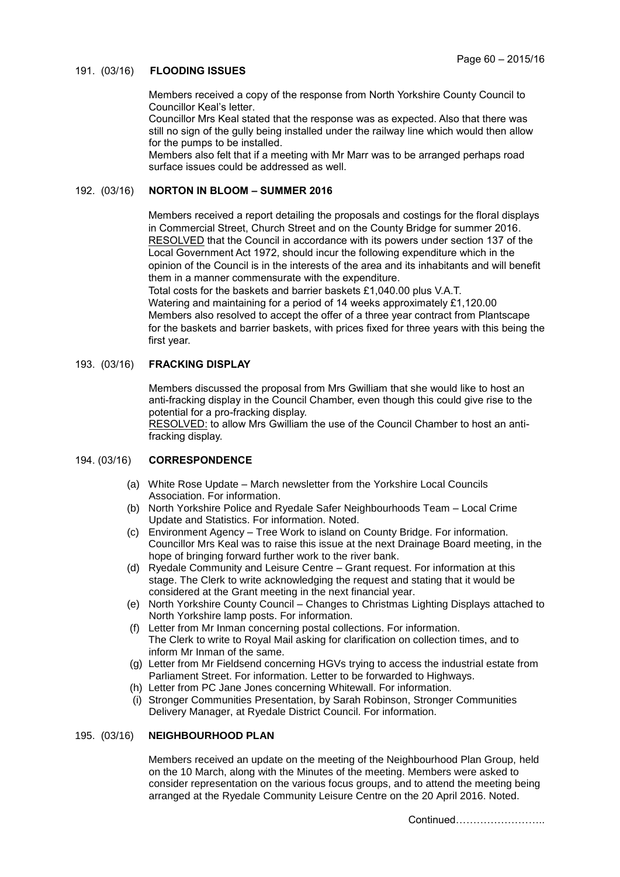# 191. (03/16) **FLOODING ISSUES**

Members received a copy of the response from North Yorkshire County Council to Councillor Keal's letter.

Councillor Mrs Keal stated that the response was as expected. Also that there was still no sign of the gully being installed under the railway line which would then allow for the pumps to be installed.

Members also felt that if a meeting with Mr Marr was to be arranged perhaps road surface issues could be addressed as well.

# 192. (03/16) **NORTON IN BLOOM – SUMMER 2016**

Members received a report detailing the proposals and costings for the floral displays in Commercial Street, Church Street and on the County Bridge for summer 2016. RESOLVED that the Council in accordance with its powers under section 137 of the Local Government Act 1972, should incur the following expenditure which in the opinion of the Council is in the interests of the area and its inhabitants and will benefit them in a manner commensurate with the expenditure.

Total costs for the baskets and barrier baskets £1,040.00 plus V.A.T. Watering and maintaining for a period of 14 weeks approximately £1,120.00 Members also resolved to accept the offer of a three year contract from Plantscape for the baskets and barrier baskets, with prices fixed for three years with this being the first year.

## 193. (03/16) **FRACKING DISPLAY**

Members discussed the proposal from Mrs Gwilliam that she would like to host an anti-fracking display in the Council Chamber, even though this could give rise to the potential for a pro-fracking display.

RESOLVED: to allow Mrs Gwilliam the use of the Council Chamber to host an antifracking display.

# 194. (03/16) **CORRESPONDENCE**

- (a) White Rose Update March newsletter from the Yorkshire Local Councils Association. For information.
- (b) North Yorkshire Police and Ryedale Safer Neighbourhoods Team Local Crime Update and Statistics. For information. Noted.
- (c) Environment Agency Tree Work to island on County Bridge. For information. Councillor Mrs Keal was to raise this issue at the next Drainage Board meeting, in the hope of bringing forward further work to the river bank.
- (d) Ryedale Community and Leisure Centre Grant request. For information at this stage. The Clerk to write acknowledging the request and stating that it would be considered at the Grant meeting in the next financial year.
- (e) North Yorkshire County Council Changes to Christmas Lighting Displays attached to North Yorkshire lamp posts. For information.
- (f) Letter from Mr Inman concerning postal collections. For information. The Clerk to write to Royal Mail asking for clarification on collection times, and to inform Mr Inman of the same.
- (g) Letter from Mr Fieldsend concerning HGVs trying to access the industrial estate from Parliament Street. For information. Letter to be forwarded to Highways.
- (h) Letter from PC Jane Jones concerning Whitewall. For information.
- (i) Stronger Communities Presentation, by Sarah Robinson, Stronger Communities Delivery Manager, at Ryedale District Council. For information.

### 195. (03/16) **NEIGHBOURHOOD PLAN**

Members received an update on the meeting of the Neighbourhood Plan Group, held on the 10 March, along with the Minutes of the meeting. Members were asked to consider representation on the various focus groups, and to attend the meeting being arranged at the Ryedale Community Leisure Centre on the 20 April 2016. Noted.